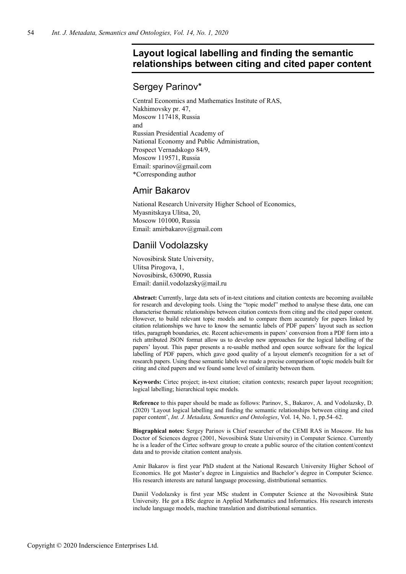# **Layout logical labelling and finding the semantic relationships between citing and cited paper content**

# Sergey Parinov\*

Central Economics and Mathematics Institute of RAS, Nakhimovsky pr. 47, Moscow 117418, Russia and Russian Presidential Academy of National Economy and Public Administration, Prospect Vernadskogo 84/9, Moscow 119571, Russia Email: sparinov@gmail.com \*Corresponding author

# Amir Bakarov

National Research University Higher School of Economics, Myasnitskaya Ulitsa, 20, Moscow 101000, Russia Email: amirbakarov@gmail.com

# Daniil Vodolazsky

Novosibirsk State University, Ulitsa Pirogova, 1, Novosibirsk, 630090, Russia Email: daniil.vodolazsky@mail.ru

**Abstract:** Currently, large data sets of in-text citations and citation contexts are becoming available for research and developing tools. Using the "topic model" method to analyse these data, one can characterise thematic relationships between citation contexts from citing and the cited paper content. However, to build relevant topic models and to compare them accurately for papers linked by citation relationships we have to know the semantic labels of PDF papers' layout such as section titles, paragraph boundaries, etc. Recent achievements in papers' conversion from a PDF form into a rich attributed JSON format allow us to develop new approaches for the logical labelling of the papers' layout. This paper presents a re-usable method and open source software for the logical labelling of PDF papers, which gave good quality of a layout element's recognition for a set of research papers. Using these semantic labels we made a precise comparison of topic models built for citing and cited papers and we found some level of similarity between them.

**Keywords:** Cirtec project; in-text citation; citation contexts; research paper layout recognition; logical labelling; hierarchical topic models.

**Reference** to this paper should be made as follows: Parinov, S., Bakarov, A. and Vodolazsky, D. (2020) 'Layout logical labelling and finding the semantic relationships between citing and cited paper content', *Int. J. Metadata, Semantics and Ontologies*, Vol. 14, No. 1, pp.54–62.

**Biographical notes:** Sergey Parinov is Chief researcher of the CEMI RAS in Moscow. He has Doctor of Sciences degree (2001, Novosibirsk State University) in Computer Science. Currently he is a leader of the Cirtec software group to create a public source of the citation content/context data and to provide citation content analysis.

Amir Bakarov is first year PhD student at the National Research University Higher School of Economics. He got Master's degree in Linguistics and Bachelor's degree in Computer Science. His research interests are natural language processing, distributional semantics.

Daniil Vodolazsky is first year MSc student in Computer Science at the Novosibirsk State University. He got a BSc degree in Applied Mathematics and Informatics. His research interests include language models, machine translation and distributional semantics.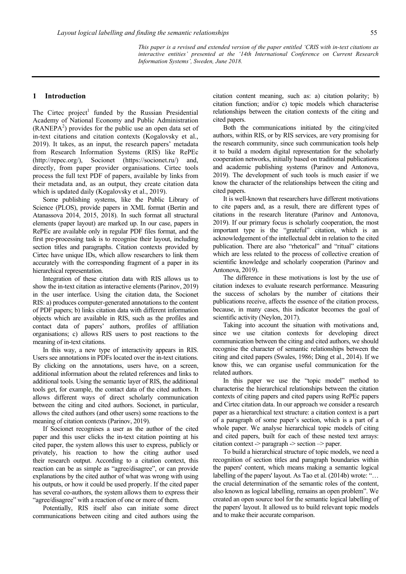*This paper is a revised and extended version of the paper entitled 'CRIS with in-text citations as interactive entities' presented at the '14th International Conference on Current Research Information Systems', Sweden, June 2018.*

### **1 Introduction**

The Cirtec project<sup>1</sup> funded by the Russian Presidential Academy of National Economy and Public Administration  $(RANEPA<sup>2</sup>)$  provides for the public use an open data set of in-text citations and citation contexts (Kogalovsky et al., 2019). It takes, as an input, the research papers' metadata from Research Information Systems (RIS) like RePEc (http://repec.org/), Socionet (https://socionet.ru/) and, directly, from paper provider organisations. Cirtec tools process the full text PDF of papers, available by links from their metadata and, as an output, they create citation data which is updated daily (Kogalovsky et al., 2019).

Some publishing systems, like the Public Library of Science (PLOS), provide papers in XML format (Bertin and Atanassova 2014, 2015, 2018). In such format all structural elements (paper layout) are marked up. In our case, papers in RePEc are available only in regular PDF files format, and the first pre-processing task is to recognise their layout, including section titles and paragraphs. Citation contexts provided by Cirtec have unique IDs, which allow researchers to link them accurately with the corresponding fragment of a paper in its hierarchical representation.

Integration of these citation data with RIS allows us to show the in-text citation as interactive elements (Parinov, 2019) in the user interface. Using the citation data, the Socionet RIS: a) produces computer-generated annotations to the content of PDF papers; b) links citation data with different information objects which are available in RIS, such as the profiles and contact data of papers' authors, profiles of affiliation organisations; c) allows RIS users to post reactions to the meaning of in-text citations.

In this way, a new type of interactivity appears in RIS. Users see annotations in PDFs located over the in-text citations. By clicking on the annotations, users have, on a screen, additional information about the related references and links to additional tools. Using the semantic layer of RIS, the additional tools get, for example, the contact data of the cited authors. It allows different ways of direct scholarly communication between the citing and cited authors. Socionet, in particular, allows the cited authors (and other users) some reactions to the meaning of citation contexts (Parinov, 2019).

If Socionet recognises a user as the author of the cited paper and this user clicks the in-text citation pointing at his cited paper, the system allows this user to express, publicly or privately, his reaction to how the citing author used their research output. According to a citation context, this reaction can be as simple as "agree/disagree", or can provide explanations by the cited author of what was wrong with using his outputs, or how it could be used properly. If the cited paper has several co-authors, the system allows them to express their "agree/disagree" with a reaction of one or more of them.

Potentially, RIS itself also can initiate some direct communications between citing and cited authors using the

citation content meaning, such as: a) citation polarity; b) citation function; and/or c) topic models which characterise relationships between the citation contexts of the citing and cited papers.

Both the communications initiated by the citing/cited authors, within RIS, or by RIS services, are very promising for the research community, since such communication tools help it to build a modern digital representation for the scholarly cooperation networks, initially based on traditional publications and academic publishing systems (Parinov and Antonova, 2019). The development of such tools is much easier if we know the character of the relationships between the citing and cited papers.

It is well-known that researchers have different motivations to cite papers and, as a result, there are different types of citations in the research literature (Parinov and Antonova, 2019). If our primary focus is scholarly cooperation, the most important type is the "grateful" citation, which is an acknowledgement of the intellectual debt in relation to the cited publication. There are also "rhetorical" and "ritual" citations which are less related to the process of collective creation of scientific knowledge and scholarly cooperation (Parinov and Antonova, 2019).

The difference in these motivations is lost by the use of citation indexes to evaluate research performance. Measuring the success of scholars by the number of citations their publications receive, affects the essence of the citation process, because, in many cases, this indicator becomes the goal of scientific activity (Neylon, 2017).

Taking into account the situation with motivations and, since we use citation contexts for developing direct communication between the citing and cited authors, we should recognise the character of semantic relationships between the citing and cited papers (Swales, 1986; Ding et al., 2014). If we know this, we can organise useful communication for the related authors.

In this paper we use the "topic model" method to characterise the hierarchical relationships between the citation contexts of citing papers and cited papers using RePEc papers and Cirtec citation data. In our approach we consider a research paper as a hierarchical text structure: a citation context is a part of a paragraph of some paper's section, which is a part of a whole paper. We analyse hierarchical topic models of citing and cited papers, built for each of these nested text arrays: citation context -> paragraph -> section –> paper.

To build a hierarchical structure of topic models, we need a recognition of section titles and paragraph boundaries within the papers' content, which means making a semantic logical labelling of the papers' layout. As Tao et al. (2014b) wrote: "… the crucial determination of the semantic roles of the content, also known as logical labelling, remains an open problem". We created an open source tool for the semantic logical labelling of the papers' layout. It allowed us to build relevant topic models and to make their accurate comparison.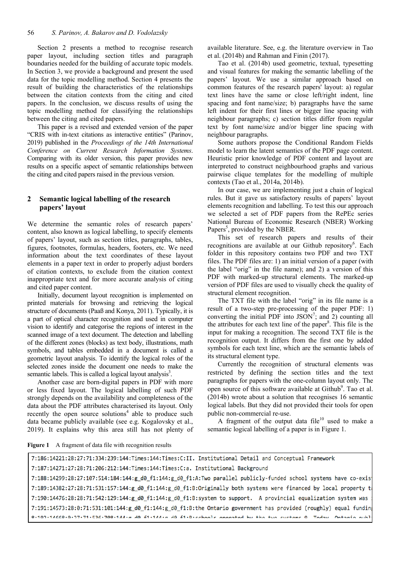Section 2 presents a method to recognise research paper layout, including section titles and paragraph boundaries needed for the building of accurate topic models. In Section 3, we provide a background and present the used data for the topic modelling method. Section 4 presents the result of building the characteristics of the relationships between the citation contexts from the citing and cited papers. In the conclusion, we discuss results of using the topic modelling method for classifying the relationships between the citing and cited papers.

This paper is a revised and extended version of the paper "CRIS with in-text citations as interactive entities" (Parinov, 2019) published in the *Proceedings of the 14th International Conference on Current Research Information Systems*. Comparing with its older version, this paper provides new results on a specific aspect of semantic relationships between the citing and cited papers raised in the previous version.

# **2 Semantic logical labelling of the research papers' layout**

We determine the semantic roles of research papers' content, also known as logical labelling, to specify elements of papers' layout, such as section titles, paragraphs, tables, figures, footnotes, formulas, headers, footers, etc. We need information about the text coordinates of these layout elements in a paper text in order to properly adjust borders of citation contexts, to exclude from the citation context inappropriate text and for more accurate analysis of citing and cited paper content.

Initially, document layout recognition is implemented on printed materials for browsing and retrieving the logical structure of documents (Paaß and Konya, 2011). Typically, it is a part of optical character recognition and used in computer vision to identify and categorise the regions of interest in the scanned image of a text document. The detection and labelling of the different zones (blocks) as text body, illustrations, math symbols, and tables embedded in a document is called a geometric layout analysis. To identify the logical roles of the selected zones inside the document one needs to make the semantic labels. This is called a logical layout analysis $3$ .

Another case are born-digital papers in PDF with more or less fixed layout. The logical labelling of such PDF strongly depends on the availability and completeness of the data about the PDF attributes characterised its layout. Only recently the open source solutions<sup>4</sup> able to produce such data became publicly available (see e.g. Kogalovsky et al., 2019). It explains why this area still has not plenty of available literature. See, e.g. the literature overview in Tao et al. (2014b) and Rahman and Finin (2017).

Tao et al. (2014b) used geometric, textual, typesetting and visual features for making the semantic labelling of the papers' layout. We use a similar approach based on common features of the research papers' layout: a) regular text lines have the same or close left/right indent, line spacing and font name/size; b) paragraphs have the same left indent for their first lines or bigger line spacing with neighbour paragraphs; c) section titles differ from regular text by font name/size and/or bigger line spacing with neighbour paragraphs.

Some authors propose the Conditional Random Fields model to learn the latent semantics of the PDF page content. Heuristic prior knowledge of PDF content and layout are interpreted to construct neighbourhood graphs and various pairwise clique templates for the modelling of multiple contexts (Tao et al., 2014a, 2014b).

In our case, we are implementing just a chain of logical rules. But it gave us satisfactory results of papers' layout elements recognition and labelling. To test this our approach we selected a set of PDF papers from the RePEc series National Bureau of Economic Research (NBER) Working Papers<sup>5</sup>, provided by the NBER.

This set of research papers and results of their recognitions are available at our Github repository<sup>6</sup>. Each folder in this repository contains two PDF and two TXT files. The PDF files are: 1) an initial version of a paper (with the label "orig" in the file name); and 2) a version of this PDF with marked-up structural elements. The marked-up version of PDF files are used to visually check the quality of structural element recognition.

The TXT file with the label "orig" in its file name is a result of a two-step pre-processing of the paper PDF: 1) converting the initial PDF into  $\text{JSON}^7$ ; and 2) counting all the attributes for each text line of the paper<sup>8</sup>. This file is the input for making a recognition. The second TXT file is the recognition output. It differs from the first one by added symbols for each text line, which are the semantic labels of its structural element type.

Currently the recognition of structural elements was restricted by defining the section titles and the text paragraphs for papers with the one-column layout only. The open source of this software available at Github<sup>9</sup>. Tao et al. (2014b) wrote about a solution that recognises 16 semantic logical labels. But they did not provided their tools for open public non-commercial re-use.

A fragment of the output data file<sup>10</sup> used to make a semantic logical labelling of a paper is in Figure 1.

**Figure 1** A fragment of data file with recognition results

```
7:186:14221:28:27:71:334:239:144:Times:144:Times:C:II. Institutional Detail and Conceptual Framework
7:187:14271:27:28:71:206:212:144:Times:144:Times:C:a. Institutional Background
7:188:14299:28:27:107:514:184:144:g d0 f1:144:g d0 f1:A:Two parallel publicly-funded school systems have co-exis
7:189:14382:27:28:71:531:157:144:g_d0_f1:144:g_d0_f1:B:Originally both systems were financed by local property t
7:190:14476:28:28:71:542:129:144:g d0 f1:144:g d0 f1:B:system to support. A provincial equalization system was
7:191:14573:28:0:71:531:101:144:g_d0_f1:144:g_d0_f1:B:the Ontario government has provided (roughly) equal fundin
0.103.11669.0.7771.526.780.111.6 da f1.111.6 da f1.B.cchools anonated by the two systems Q Today Ontanio nuhl
```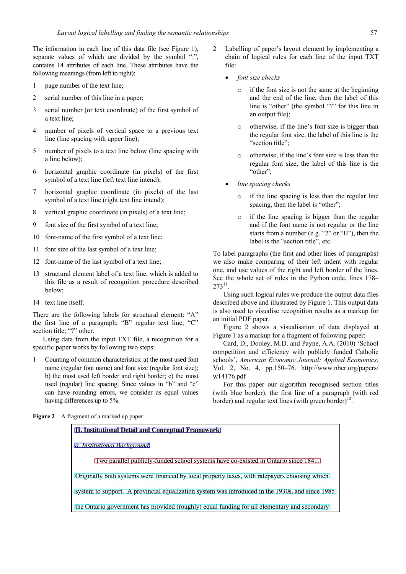The information in each line of this data file (see Figure 1), separate values of which are divided by the symbol ":", contains 14 attributes of each line. These attributes have the following meanings (from left to right):

- 1 page number of the text line;
- 2 serial number of this line in a paper;
- 3 serial number (or text coordinate) of the first symbol of a text line;
- 4 number of pixels of vertical space to a previous text line (line spacing with upper line);
- 5 number of pixels to a text line below (line spacing with a line below);
- 6 horizontal graphic coordinate (in pixels) of the first symbol of a text line (left text line intend);
- 7 horizontal graphic coordinate (in pixels) of the last symbol of a text line (right text line intend);
- 8 vertical graphic coordinate (in pixels) of a text line;
- 9 font size of the first symbol of a text line;
- 10 font-name of the first symbol of a text line;
- 11 font size of the last symbol of a text line;
- 12 font-name of the last symbol of a text line;
- 13 structural element label of a text line, which is added to this file as a result of recognition procedure described below;
- 14 text line itself.

There are the following labels for structural element: "A" the first line of a paragraph; "B" regular text line; "C" section title; "?" other.

Using data from the input TXT file, a recognition for a specific paper works by following two steps:

1 Counting of common characteristics: a) the most used font name (regular font name) and font size (regular font size); b) the most used left border and right border; с) the most used (regular) line spacing. Since values in "b" and "c" can have rounding errors, we consider as equal values having differences up to 5%.

- 2 Labelling of paper's layout element by implementing a chain of logical rules for each line of the input TXT file:
	- *font size checks* 
		- if the font size is not the same at the beginning and the end of the line, then the label of this line is "other" (the symbol "?" for this line in an output file);
		- o otherwise, if the line's font size is bigger than the regular font size, the label of this line is the "section title";
		- o otherwise, if the line's font size is less than the regular font size, the label of this line is the "other";
	- *line spacing checks* 
		- if the line spacing is less than the regular line spacing, then the label is "other";
		- o if the line spacing is bigger than the regular and if the font name is not regular or the line starts from a number (e.g. "2" or "II"), then the label is the "section title", etc.

To label paragraphs (the first and other lines of paragraphs) we also make comparing of their left indent with regular one, and use values of the right and left border of the lines. See the whole set of rules in the Python code, lines 178–  $273^{11}$ .

Using such logical rules we produce the output data files described above and illustrated by Figure 1. This output data is also used to visualise recognition results as a markup for an initial PDF paper.

Figure 2 shows a visualisation of data displayed at Figure 1 as a markup for a fragment of following paper:

Card, D., Dooley, M.D. and Payne, A.A. (2010) 'School competition and efficiency with publicly funded Catholic schools', *American Economic Journal: Applied Economics*, Vol. 2, No. 4, pp.150–76. http://www.nber.org/papers/ w14176.pdf

For this paper our algorithm recognised section titles (with blue border), the first line of a paragraph (with red border) and regular text lines (with green border) $^{12}$ .

Figure 2 A fragment of a marked up paper

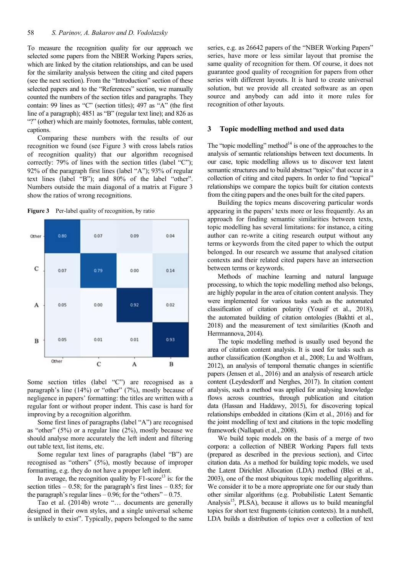To measure the recognition quality for our approach we selected some papers from the NBER Working Papers series, which are linked by the citation relationships, and can be used for the similarity analysis between the citing and cited papers (see the next section). From the "Introduction" section of these selected papers and to the "References" section, we manually counted the numbers of the section titles and paragraphs. They contain: 99 lines as "C" (section titles); 497 as "A" (the first line of a paragraph); 4851 as "B" (regular text line); and 826 as "?" (other) which are mainly footnotes, formulas, table content, captions.

Comparing these numbers with the results of our recognition we found (see Figure 3 with cross labels ratios of recognition quality) that our algorithm recognised correctly: 79% of lines with the section titles (label "C"); 92% of the paragraph first lines (label "A"); 93% of regular text lines (label "B"); and 80% of the label "other". Numbers outside the main diagonal of a matrix at Figure 3 show the ratios of wrong recognitions.





Some section titles (label "C") are recognised as a paragraph's line (14%) or "other" (7%), mostly because of negligence in papers' formatting: the titles are written with a regular font or without proper indent. This case is hard for improving by a recognition algorithm.

Some first lines of paragraphs (label "A") are recognised as "other"  $(5\%)$  or a regular line  $(2\%)$ , mostly because we should analyse more accurately the left indent and filtering out table text, list items, etc.

Some regular text lines of paragraphs (label "B") are recognised as "others" (5%), mostly because of improper formatting, e.g. they do not have a proper left indent.

In average, the recognition quality by  $F1$ -score<sup>13</sup> is: for the section titles  $-0.58$ ; for the paragraph's first lines  $-0.85$ ; for the paragraph's regular lines  $-0.96$ ; for the "others"  $-0.75$ .

Tao et al. (2014b) wrote "… documents are generally designed in their own styles, and a single universal scheme is unlikely to exist". Typically, papers belonged to the same series, e.g. as 26642 papers of the "NBER Working Papers" series, have more or less similar layout that promise the same quality of recognition for them. Of course, it does not guarantee good quality of recognition for papers from other series with different layouts. It is hard to create universal solution, but we provide all created software as an open source and anybody can add into it more rules for recognition of other layouts.

## **3 Topic modelling method and used data**

The "topic modelling" method $14$  is one of the approaches to the analysis of semantic relationships between text documents. In our case, topic modelling allows us to discover text latent semantic structures and to build abstract "topics" that occur in a collection of citing and cited papers. In order to find "topical" relationships we compare the topics built for citation contexts from the citing papers and the ones built for the cited papers.

Building the topics means discovering particular words appearing in the papers' texts more or less frequently. As an approach for finding semantic similarities between texts, topic modelling has several limitations: for instance, a citing author can re-write a citing research output without any terms or keywords from the cited paper to which the output belonged. In our research we assume that analysed citation contexts and their related cited papers have an intersection between terms or keywords.

Methods of machine learning and natural language processing, to which the topic modelling method also belongs, are highly popular in the area of citation content analysis. They were implemented for various tasks such as the automated classification of citation polarity (Yousif et al., 2018), the automated building of citation ontologies (Bakhti et al., 2018) and the measurement of text similarities (Knoth and Herrmannova, 2014).

The topic modelling method is usually used beyond the area of citation content analysis. It is used for tasks such as author classification (Kongthon et al., 2008; Lu and Wolfram, 2012), an analysis of temporal thematic changes in scientific papers (Jensen et al., 2016) and an analysis of research article content (Leydesdorff and Nerghes, 2017). In citation content analysis, such a method was applied for analysing knowledge flows across countries, through publication and citation data (Hassan and Haddawy, 2015), for discovering topical relationships embedded in citations (Kim et al., 2016) and for the joint modelling of text and citations in the topic modelling framework (Nallapati et al., 2008).

We build topic models on the basis of a merge of two corpora: a collection of NBER Working Papers full texts (prepared as described in the previous section), and Cirtec citation data. As a method for building topic models, we used the Latent Dirichlet Allocation (LDA) method (Blei et al., 2003), one of the most ubiquitous topic modelling algorithms. We consider it to be a more appropriate one for our study than other similar algorithms (e.g. Probabilistic Latent Semantic Analysis<sup>15</sup>, PLSA), because it allows us to build meaningful topics for short text fragments (citation contexts). In a nutshell, LDA builds a distribution of topics over a collection of text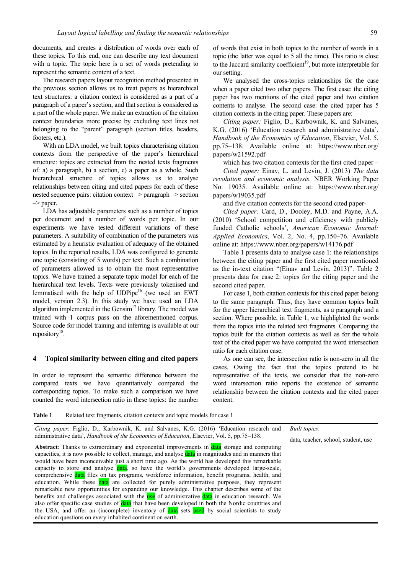documents, and creates a distribution of words over each of these topics. To this end, one can describe any text document with a topic. The topic here is a set of words pretending to represent the semantic content of a text.

The research papers layout recognition method presented in the previous section allows us to treat papers as hierarchical text structures: a citation context is considered as a part of a paragraph of a paper's section, and that section is considered as a part of the whole paper. We make an extraction of the citation context boundaries more precise by excluding text lines not belonging to the "parent" paragraph (section titles, headers, footers, etc.).

With an LDA model, we built topics characterising citation contexts from the perspective of the paper's hierarchical structure: topics are extracted from the nested texts fragments of: a) a paragraph, b) a section, c) a paper as a whole. Such hierarchical structure of topics allows us to analyse relationships between citing and cited papers for each of these nested sequence pairs: citation context –> paragraph –> section  $\Rightarrow$  paper.

LDA has adjustable parameters such as a number of topics per document and a number of words per topic. In our experiments we have tested different variations of these parameters. A suitability of combination of the parameters was estimated by a heuristic evaluation of adequacy of the obtained topics. In the reported results, LDA was configured to generate one topic (consisting of 5 words) per text. Such a combination of parameters allowed us to obtain the most representative topics. We have trained a separate topic model for each of the hierarchical text levels. Texts were previously tokenised and lemmatised with the help of  $\text{UDPipe}^{16}$  (we used an EWT model, version 2.3). In this study we have used an LDA algorithm implemented in the Gensim<sup>17</sup> library. The model was trained with 1 corpus pass on the aforementioned corpus. Source code for model training and inferring is available at our repository<sup>18</sup>.

#### **4 Topical similarity between citing and cited papers**

In order to represent the semantic difference between the compared texts we have quantitatively compared the corresponding topics. To make such a comparison we have counted the word intersection ratio in these topics: the number

of words that exist in both topics to the number of words in a topic (the latter was equal to 5 all the time). This ratio is close to the Jaccard similarity coefficient<sup>19</sup>, but more interpretable for our setting.

We analysed the cross-topics relationships for the case when a paper cited two other papers. The first case: the citing paper has two mentions of the cited paper and two citation contents to analyse. The second case: the cited paper has 5 citation contexts in the citing paper. These papers are:

*Citing paper:* Figlio, D., Karbownik, K. and Salvanes, K.G. (2016) 'Education research and administrative data', *Handbook of the Economics of Education*, Elsevier, Vol. 5, pp.75–138. Available online at: https://www.nber.org/ papers/w21592.pdf

which has two citation contexts for the first cited paper –

*Cited paper:* Einav, L. and Levin, J. (2013) *The data revolution and economic analysis.* NBER Working Paper No. 19035. Available online at: https://www.nber.org/ papers/w19035.pdf

and five citation contexts for the second cited paper-

*Cited paper:* Card, D., Dooley, M.D. and Payne, A.A. (2010) 'School competition and efficiency with publicly funded Catholic schools', *American Economic Journal: Applied Economics*, Vol. 2, No. 4, pp.150–76. Available online at: https://www.nber.org/papers/w14176.pdf

Table 1 presents data to analyse case 1: the relationships between the citing paper and the first cited paper mentioned as the in-text citation "(Einav and Levin, 2013)". Table 2 presents data for case 2: topics for the citing paper and the second cited paper.

For case 1, both citation contexts for this cited paper belong to the same paragraph. Thus, they have common topics built for the upper hierarchical text fragments, as a paragraph and a section. Where possible, in Table 1, we highlighted the words from the topics into the related text fragments. Comparing the topics built for the citation contexts as well as for the whole text of the cited paper we have computed the word intersection ratio for each citation case.

As one can see, the intersection ratio is non-zero in all the cases. Owing the fact that the topics pretend to be representative of the texts, we consider that the non-zero word intersection ratio reports the existence of semantic relationship between the citation contexts and the cited paper content.

**Table 1** Related text fragments, citation contexts and topic models for case 1

*Citing paper*: Figlio, D., Karbownik, K. and Salvanes, K.G. (2016) 'Education research and administrative data', *Handbook of the Economics of Education*, Elsevier, Vol. 5, pp.75–138.

**Abstract**: Thanks to extraordinary and exponential improvements in **data** storage and computing capacities, it is now possible to collect, manage, and analyse data in magnitudes and in manners that would have been inconceivable just a short time ago. As the world has developed this remarkable capacity to store and analyse data, so have the world's governments developed large-scale, comprehensive data files on tax programs, workforce information, benefit programs, health, and education. While these data are collected for purely administrative purposes, they represent remarkable new opportunities for expanding our knowledge. This chapter describes some of the benefits and challenges associated with the use of administrative data in education research. We also offer specific case studies of data that have been developed in both the Nordic countries and the USA, and offer an (incomplete) inventory of **data** sets used by social scientists to study education questions on every inhabited continent on earth.

*Built topics*:

data, teacher, school, student, use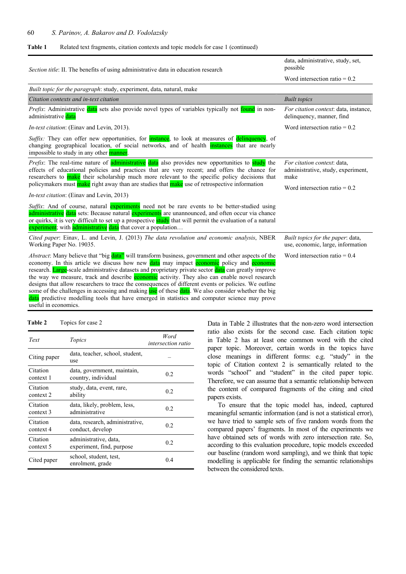#### 60 *S. Parinov, A. Bakarov and D. Vodolazsky*

#### **Table 1** Related text fragments, citation contexts and topic models for case 1 (continued)

| Section title: II. The benefits of using administrative data in education research                                                                                                                                                                                                                                                                                                                                                                                                                                                                                                                                                                                                                                                                        | data, administrative, study, set,<br>possible                             |
|-----------------------------------------------------------------------------------------------------------------------------------------------------------------------------------------------------------------------------------------------------------------------------------------------------------------------------------------------------------------------------------------------------------------------------------------------------------------------------------------------------------------------------------------------------------------------------------------------------------------------------------------------------------------------------------------------------------------------------------------------------------|---------------------------------------------------------------------------|
|                                                                                                                                                                                                                                                                                                                                                                                                                                                                                                                                                                                                                                                                                                                                                           | Word intersection ratio $= 0.2$                                           |
| Built topic for the paragraph: study, experiment, data, natural, make                                                                                                                                                                                                                                                                                                                                                                                                                                                                                                                                                                                                                                                                                     |                                                                           |
| Citation contexts and in-text citation                                                                                                                                                                                                                                                                                                                                                                                                                                                                                                                                                                                                                                                                                                                    | <b>Built</b> topics                                                       |
| <i>Prefix:</i> Administrative data sets also provide novel types of variables typically not found in non-<br>administrative data                                                                                                                                                                                                                                                                                                                                                                                                                                                                                                                                                                                                                          | For citation context: data, instance,<br>delinquency, manner, find        |
| <i>In-text citation:</i> (Einav and Levin, 2013).                                                                                                                                                                                                                                                                                                                                                                                                                                                                                                                                                                                                                                                                                                         | Word intersection ratio = $0.2$                                           |
| <i>Suffix:</i> They can offer new opportunities, for <b>instance</b> , to look at measures of <b>delinquency</b> , of<br>changing geographical location, of social networks, and of health <b>instances</b> that are nearly<br>impossible to study in any other manner.                                                                                                                                                                                                                                                                                                                                                                                                                                                                                   |                                                                           |
| Prefix: The real-time nature of <b>administrative</b> data also provides new opportunities to <b>study</b> the<br>effects of educational policies and practices that are very recent; and offers the chance for<br>researchers to <b>make</b> their scholarship much more relevant to the specific policy decisions that                                                                                                                                                                                                                                                                                                                                                                                                                                  | For citation context: data,<br>administrative, study, experiment,<br>make |
| policymakers must make right away than are studies that make use of retrospective information<br><i>In-text citation:</i> (Einav and Levin, 2013)                                                                                                                                                                                                                                                                                                                                                                                                                                                                                                                                                                                                         | Word intersection ratio $= 0.2$                                           |
| Suffix: And of course, natural experiments need not be rare events to be better-studied using<br>administrative data sets: Because natural experiments are unannounced, and often occur via chance<br>or quirks, it is very difficult to set up a prospective <b>study</b> that will permit the evaluation of a natural<br>experiment; with administrative data that cover a population                                                                                                                                                                                                                                                                                                                                                                   |                                                                           |
| Cited paper: Einav, L. and Levin, J. (2013) The data revolution and economic analysis, NBER<br>Working Paper No. 19035.                                                                                                                                                                                                                                                                                                                                                                                                                                                                                                                                                                                                                                   | Built topics for the paper: data,<br>use, economic, large, information    |
| <i>Abstract</i> : Many believe that "big data" will transform business, government and other aspects of the<br>economy. In this article we discuss how new data may impact economic policy and economic<br>research. Large-scale administrative datasets and proprietary private sector data can greatly improve<br>the way we measure, track and describe economic activity. They also can enable novel research<br>designs that allow researchers to trace the consequences of different events or policies. We outline<br>some of the challenges in accessing and making use of these data. We also consider whether the big<br>data predictive modelling tools that have emerged in statistics and computer science may prove<br>useful in economics. | Word intersection ratio $= 0.4$                                           |

**Table 2** Topics for case 2

| Text                  | Topics                                              | Word<br><i>intersection ratio</i> |
|-----------------------|-----------------------------------------------------|-----------------------------------|
| Citing paper          | data, teacher, school, student,<br>use              |                                   |
| Citation<br>context 1 | data, government, maintain,<br>country, individual  | 0.2                               |
| Citation<br>context 2 | study, data, event, rare,<br>ability                | 0.2                               |
| Citation<br>context 3 | data, likely, problem, less,<br>administrative      | 0.2                               |
| Citation<br>context 4 | data, research, administrative,<br>conduct, develop | 0.2                               |
| Citation<br>context 5 | administrative, data,<br>experiment, find, purpose  | 0.2                               |
| Cited paper           | school, student, test,<br>enrolment, grade          | 0.4                               |

Data in Table 2 illustrates that the non-zero word intersection ratio also exists for the second case. Each citation topic in Table 2 has at least one common word with the cited paper topic. Moreover, certain words in the topics have close meanings in different forms: e.g. "study" in the topic of Citation context 2 is semantically related to the words "school" and "student" in the cited paper topic. Therefore, we can assume that a semantic relationship between the content of compared fragments of the citing and cited papers exists.

To ensure that the topic model has, indeed, captured meaningful semantic information (and is not a statistical error), we have tried to sample sets of five random words from the compared papers' fragments. In most of the experiments we have obtained sets of words with zero intersection rate. So, according to this evaluation procedure, topic models exceeded our baseline (random word sampling), and we think that topic modelling is applicable for finding the semantic relationships between the considered texts.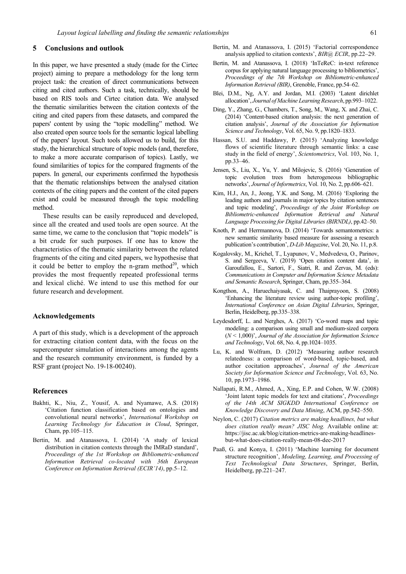## **5 Conclusions and outlook**

In this paper, we have presented a study (made for the Cirtec project) aiming to prepare a methodology for the long term project task: the creation of direct communications between citing and cited authors. Such a task, technically, should be based on RIS tools and Cirtec citation data. We analysed the thematic similarities between the citation contexts of the citing and cited papers from these datasets, and compared the papers' content by using the "topic modelling" method. We also created open source tools for the semantic logical labelling of the papers' layout. Such tools allowed us to build, for this study, the hierarchical structure of topic models (and, therefore, to make a more accurate comparison of topics). Lastly, we found similarities of topics for the compared fragments of the papers. In general, our experiments confirmed the hypothesis that the thematic relationships between the analysed citation contexts of the citing papers and the content of the cited papers exist and could be measured through the topic modelling method.

These results can be easily reproduced and developed, since all the created and used tools are open source. At the same time, we came to the conclusion that "topic models" is a bit crude for such purposes. If one has to know the characteristics of the thematic similarity between the related fragments of the citing and cited papers, we hypothesise that it could be better to employ the n-gram method<sup>20</sup>, which provides the most frequently repeated professional terms and lexical cliché. We intend to use this method for our future research and development.

## **Acknowledgements**

A part of this study, which is a development of the approach for extracting citation content data, with the focus on the supercomputer simulation of interactions among the agents and the research community environment, is funded by a RSF grant (project No. 19-18-00240).

#### **References**

- Bakhti, K., Niu, Z., Yousif, A. and Nyamawe, A.S. (2018) 'Citation function classification based on ontologies and convolutional neural networks', *International Workshop on Learning Technology for Education in Cloud*, Springer, Cham, pp.105–115.
- Bertin, M. and Atanassova, I. (2014) 'A study of lexical distribution in citation contexts through the IMRaD standard', *Proceedings of the 1st Workshop on Bibliometric-enhanced Information Retrieval co-located with 36th European Conference on Information Retrieval (ECIR'14)*, pp.5–12.
- Bertin, M. and Atanassova, I. (2015) 'Factorial correspondence analysis applied to citation contexts', *BIR@ ECIR*, pp.22–29.
- Bertin, M. and Atanassova, I. (2018) 'InTeReC: in-text reference corpus for applying natural language processing to bibliometrics', *Proceedings of the 7th Workshop on Bibliometric-enhanced Information Retrieval (BIR)*, Grenoble, France, pp.54–62.
- Blei, D.M., Ng, A.Y. and Jordan, M.I. (2003) 'Latent dirichlet allocation', *Journal of Machine LearningResearch*, pp.993–1022.
- Ding, Y., Zhang, G., Chambers, T., Song, M., Wang, X. and Zhai, C. (2014) 'Content‐based citation analysis: the next generation of citation analysis', *Journal of the Association for Information Science and Technology*, Vol. 65, No. 9, pp.1820–1833.
- Hassan, S.U. and Haddawy, P. (2015) 'Analyzing knowledge flows of scientific literature through semantic links: a case study in the field of energy', *Scientometrics*, Vol. 103, No. 1, pp.33–46.
- Jensen, S., Liu, X., Yu, Y. and Milojevic, S. (2016) 'Generation of topic evolution trees from heterogeneous bibliographic networks', *Journal of Informetrics*, Vol. 10, No. 2, pp.606–621.
- Kim, H.J., An, J., Jeong, Y.K. and Song, M. (2016) 'Exploring the leading authors and journals in major topics by citation sentences and topic modeling', *Proceedings of the Joint Workshop on Bibliometric-enhanced Information Retrieval and Natural Language Processing for Digital Libraries (BIRNDL)*, pp.42–50.
- Knoth, P. and Herrmannova, D. (2014) 'Towards semantometrics: a new semantic similarity based measure for assessing a research publication's contribution', *D-Lib Magazine*, Vol. 20, No. 11, p.8.
- Kogalovsky, M., Krichel, T., Lyapunov, V., Medvedeva, O., Parinov, S. and Sergeeva, V. (2019) 'Open citation content data', in Garoufallou, E., Sartori, F., Siatri, R. and Zervas, M. (eds): *Communications in Computer and Information Science Metadata and Semantic Research*, Springer, Cham, pp.355–364.
- Kongthon, A., Haruechaiyasak, C. and Thaiprayoon, S. (2008) 'Enhancing the literature review using author-topic profiling', *International Conference on Asian Digital Libraries*, Springer, Berlin, Heidelberg, pp.335–338.
- Leydesdorff, L. and Nerghes, A. (2017) 'Co-word maps and topic modeling: a comparison using small and medium‐sized corpora (*N* < 1,000)', *Journal of the Association for Information Science and Technology*, Vol. 68, No. 4, pp.1024–1035.
- Lu, K. and Wolfram, D. (2012) 'Measuring author research relatedness: a comparison of word‐based, topic‐based, and author cocitation approaches', *Journal of the American Society for Information Science and Technology*, Vol. 63, No. 10, pp.1973–1986.
- Nallapati, R.M., Ahmed, A., Xing, E.P. and Cohen, W.W. (2008) 'Joint latent topic models for text and citations', *Proceedings of the 14th ACM SIGKDD International Conference on Knowledge Discovery and Data Mining*, ACM, pp.542–550.
- Neylon, C. (2017) *Citation metrics are making headlines, but what does citation really mean? JISC blog.* Available online at: https://jisc.ac.uk/blog/citation-metrics-are-making-headlinesbut-what-does-citation-really-mean-08-dec-2017
- Paaß, G. and Konya, I. (2011) 'Machine learning for document structure recognition', *Modeling, Learning, and Processing of Text Technological Data Structures*, Springer, Berlin, Heidelberg, pp.221–247.